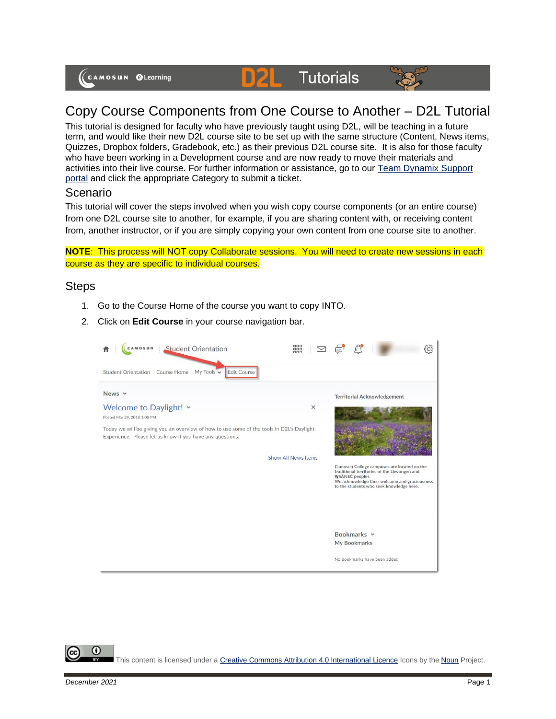# **D2L** Tutorials



# Copy Course Components from One Course to Another – D2L Tutorial

This tutorial is designed for faculty who have previously taught using D2L, will be teaching in a future term, and would like their new D2L course site to be set up with the same structure (Content, News items, Quizzes, Dropbox folders, Gradebook, etc.) as their previous D2L course site. It is also for those faculty who have been working in a Development course and are now ready to move their materials and activities into their live course. For further information or assistance, go to our [Team Dynamix Support](https://camosun.teamdynamix.com/TDClient/67/Portal/Requests/ServiceCatalog?CategoryID=523)  [portal](https://camosun.teamdynamix.com/TDClient/67/Portal/Requests/ServiceCatalog?CategoryID=523) and click the appropriate Category to submit a ticket.

#### Scenario

This tutorial will cover the steps involved when you wish copy course components (or an entire course) from one D2L course site to another, for example, if you are sharing content with, or receiving content from, another instructor, or if you are simply copying your own content from one course site to another.

**NOTE**: This process will NOT copy Collaborate sessions. You will need to create new sessions in each course as they are specific to individual courses.

## **Steps**

- 1. Go to the Course Home of the course you want to copy INTO.
- 2. Click on **Edit Course** in your course navigation bar.



This content is licensed under [a Creative Commons Attribution 4.0 International Licence.I](https://creativecommons.org/licenses/by/4.0/)cons by the [Noun](https://creativecommons.org/website-icons/) Project.

⋒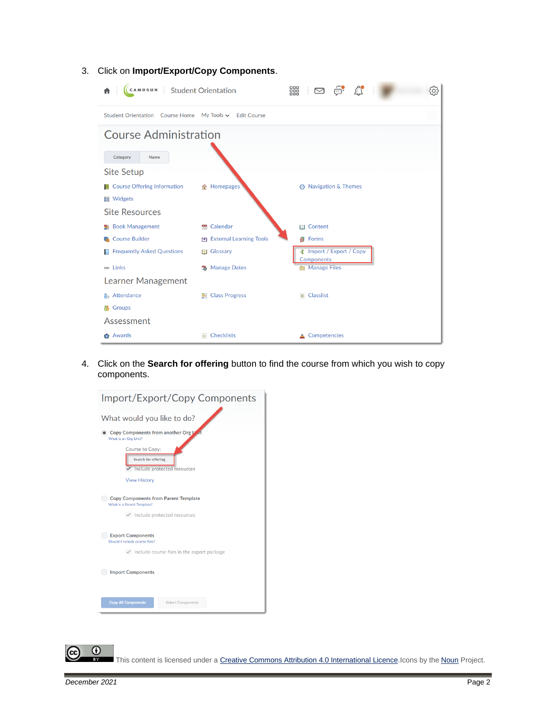

3. Click on **Import/Export/Copy Components**.

4. Click on the **Search for offering** button to find the course from which you wish to copy components.





This content is licensed under [a Creative Commons Attribution 4.0 International Licence.I](https://creativecommons.org/licenses/by/4.0/)cons by the [Noun](https://creativecommons.org/website-icons/) Project.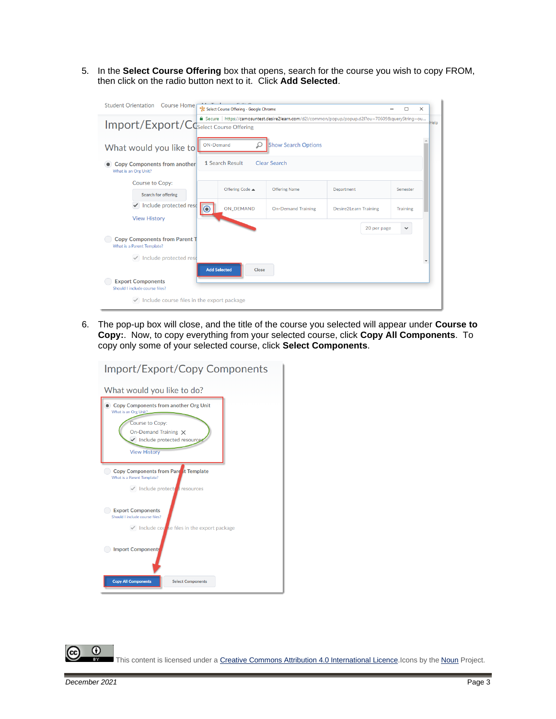5. In the **Select Course Offering** box that opens, search for the course you wish to copy FROM, then click on the radio button next to it. Click **Add Selected**.

| <b>Student Orientation</b> Course Home                                                                                                     | Select Course Offering - Google Chrome       |                           |                              | П               | $\times$ |      |
|--------------------------------------------------------------------------------------------------------------------------------------------|----------------------------------------------|---------------------------|------------------------------|-----------------|----------|------|
| a Secure https://camosuntest.desire2learn.com/d2l/common/popup/popup.d2l?ou=70609&queryString=ou<br>Import/Export/CCSelect Course Offering |                                              |                           |                              |                 |          | Help |
| What would you like to                                                                                                                     | <b>Show Search Options</b><br>ON-Demand<br>Ω |                           |                              |                 |          |      |
| 1 Search Result<br><b>Clear Search</b><br><b>Copy Components from another</b><br>What is an Org Unit?                                      |                                              |                           |                              |                 |          |      |
| <b>Course to Copy:</b><br>Search for offering                                                                                              | Offering Code ▲                              | <b>Offering Name</b>      | Department                   | Semester        |          |      |
| Include protected reso<br><b>View History</b>                                                                                              | <b>ON_DEMAND</b>                             | <b>On-Demand Training</b> | <b>Desire2Learn Training</b> | <b>Training</b> |          |      |
|                                                                                                                                            |                                              |                           | 20 per page                  | $\checkmark$    |          |      |
| <b>Copy Components from Parent T</b><br>What is a Parent Template?                                                                         |                                              |                           |                              |                 |          |      |
| $\checkmark$ Include protected reso                                                                                                        |                                              |                           |                              |                 |          |      |
| <b>Export Components</b><br>Should I include course files?                                                                                 | <b>Add Selected</b><br>Close                 |                           |                              |                 |          |      |
| $\vee$ Include course files in the export package                                                                                          |                                              |                           |                              |                 |          |      |

6. The pop-up box will close, and the title of the course you selected will appear under **Course to Copy:**. Now, to copy everything from your selected course, click **Copy All Components**. To copy only some of your selected course, click **Select Components**.



 $\odot$ This content is licensed under [a Creative Commons Attribution 4.0 International Licence.I](https://creativecommons.org/licenses/by/4.0/)cons by the [Noun](https://creativecommons.org/website-icons/) Project.